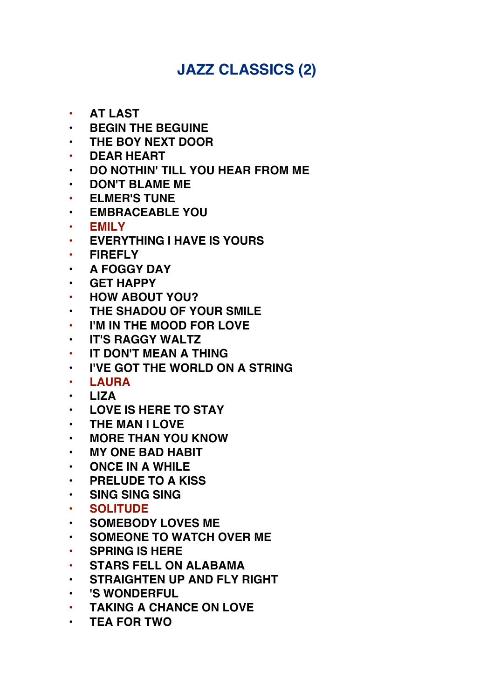## **JAZZ CLASSICS (2)**

- **• AT LAST**
- **BEGIN THE BEGUINE**
- **THE BOY NEXT DOOR**
- **• DEAR HEART**
- **DO NOTHIN' TILL YOU HEAR FROM ME**
- **DON'T BLAME ME**
- **• ELMER'S TUNE**
- **EMBRACEABLE YOU**
- **EMILY**
- **• EVERYTHING I HAVE IS YOURS**
- **• FIREFLY**
- **A FOGGY DAY**
- **GET HAPPY**
- **• HOW ABOUT YOU?**
- **THE SHADOU OF YOUR SMILE**
- **• I'M IN THE MOOD FOR LOVE**
- **IT'S RAGGY WALTZ**
- **• IT DON'T MEAN A THING**
- **I'VE GOT THE WORLD ON A STRING**
- **LAURA**
- **LIZA**
- **LOVE IS HERE TO STAY**
- **THE MAN I LOVE**
- **MORE THAN YOU KNOW**
- **MY ONE BAD HABIT**
- **ONCE IN A WHILE**
- **PRELUDE TO A KISS**
- **SING SING SING**
- **SOLITUDE**
- **SOMEBODY LOVES ME**
- **SOMEONE TO WATCH OVER ME**
- **• SPRING IS HERE**
- **• STARS FELL ON ALABAMA**
- **STRAIGHTEN UP AND FLY RIGHT**
- **'S WONDERFUL**
- **• TAKING A CHANCE ON LOVE**
- **TEA FOR TWO**